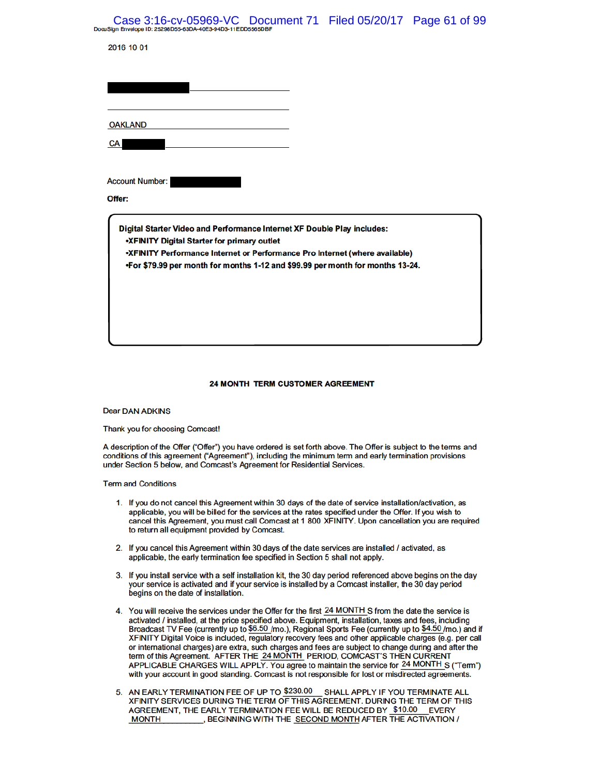## Case 3:16-cv-05969-VC Document 71 Filed 05/20/17 Page 61 of 99 DocuSign Envelope ID: 25298D55-63DA-40E3-94D3-11EDD5565DBF

2016 10 01

| <b>OAKLAND</b> |  |  |  |
|----------------|--|--|--|
|                |  |  |  |

**Account Number:** 

Offer:

Digital Starter Video and Performance Internet XF Double Play includes: .XFINITY Digital Starter for primary outlet •XFINITY Performance Internet or Performance Pro Internet (where available) •For \$79.99 per month for months 1-12 and \$99.99 per month for months 13-24.

## 24 MONTH TERM CUSTOMER AGREEMENT

**Dear DAN ADKINS** 

Thank you for choosing Comcast!

A description of the Offer ("Offer") you have ordered is set forth above. The Offer is subject to the terms and conditions of this agreement ("Agreement"), including the minimum term and early termination provisions under Section 5 below, and Comcast's Agreement for Residential Services.

**Term and Conditions** 

- 1. If you do not cancel this Agreement within 30 days of the date of service installation/activation, as applicable, you will be billed for the services at the rates specified under the Offer. If you wish to cancel this Agreement, you must call Comcast at 1 800 XFINITY. Upon cancellation you are required to return all equipment provided by Comcast.
- 2. If you cancel this Agreement within 30 days of the date services are installed / activated, as applicable, the early termination fee specified in Section 5 shall not apply.
- 3. If you install service with a self installation kit, the 30 day period referenced above begins on the day your service is activated and if your service is installed by a Comcast installer, the 30 day period begins on the date of installation.
- 4. You will receive the services under the Offer for the first 24 MONTH S from the date the service is activated / installed, at the price specified above. Equipment, installation, taxes and fees, including Broadcast TV Fee (currently up to \$6.50 /mo.), Regional Sports Fee (currently up to \$4.50 /mo.) and if XFINITY Digital Voice is included, regulatory recovery fees and other applicable charges (e.g. per call or international charges) are extra, such charges and fees are subject to change during and after the term of this Agreement. AFTER THE 24 MONTH PERIOD, COMCAST'S THEN CURRENT APPLICABLE CHARGES WILL APPLY. You agree to maintain the service for 24 MONTH S ("Term") with your account in good standing. Comcast is not responsible for lost or misdirected agreements.
- 5. AN EARLY TERMINATION FEE OF UP TO \$230.00 SHALL APPLY IF YOU TERMINATE ALL XFINITY SERVICES DURING THE TERM OF THIS AGREEMENT. DURING THE TERM OF THIS AGREEMENT, THE EARLY TERMINATION FEE WILL BE REDUCED BY \$10.00 **EVERY MONTH** , BEGINNING WITH THE SECOND MONTH AFTER THE ACTIVATION /